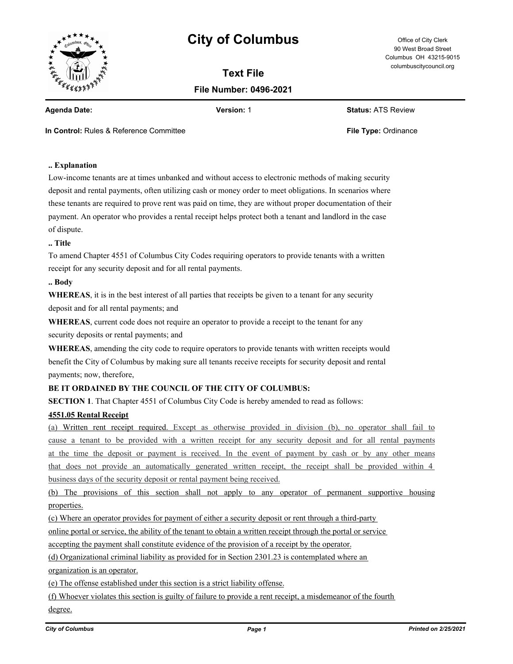

# **City of Columbus** Office of City Clerk

**Text File File Number: 0496-2021**

90 West Broad Street Columbus OH 43215-9015 columbuscitycouncil.org

**Agenda Date: Version:** 1 **Status:** ATS Review

**In Control:** Rules & Reference Committee **File Type:** Ordinance

# **.. Explanation**

Low-income tenants are at times unbanked and without access to electronic methods of making security deposit and rental payments, often utilizing cash or money order to meet obligations. In scenarios where these tenants are required to prove rent was paid on time, they are without proper documentation of their payment. An operator who provides a rental receipt helps protect both a tenant and landlord in the case of dispute.

#### **.. Title**

To amend Chapter 4551 of Columbus City Codes requiring operators to provide tenants with a written receipt for any security deposit and for all rental payments.

#### **.. Body**

**WHEREAS**, it is in the best interest of all parties that receipts be given to a tenant for any security deposit and for all rental payments; and

**WHEREAS**, current code does not require an operator to provide a receipt to the tenant for any security deposits or rental payments; and

**WHEREAS**, amending the city code to require operators to provide tenants with written receipts would benefit the City of Columbus by making sure all tenants receive receipts for security deposit and rental payments; now, therefore,

## **BE IT ORDAINED BY THE COUNCIL OF THE CITY OF COLUMBUS:**

**SECTION 1**. That Chapter 4551 of Columbus City Code is hereby amended to read as follows:

### **4551.05 Rental Receipt**

(a) Written rent receipt required. Except as otherwise provided in division (b), no operator shall fail to cause a tenant to be provided with a written receipt for any security deposit and for all rental payments at the time the deposit or payment is received. In the event of payment by cash or by any other means that does not provide an automatically generated written receipt, the receipt shall be provided within 4 business days of the security deposit or rental payment being received.

(b) The provisions of this section shall not apply to any operator of permanent supportive housing properties.

(c) Where an operator provides for payment of either a security deposit or rent through a third-party

online portal or service, the ability of the tenant to obtain a written receipt through the portal or service

accepting the payment shall constitute evidence of the provision of a receipt by the operator.

(d) Organizational criminal liability as provided for in Section 2301.23 is contemplated where an

organization is an operator.

(e) The offense established under this section is a strict liability offense.

(f) Whoever violates this section is guilty of failure to provide a rent receipt, a misdemeanor of the fourth degree.